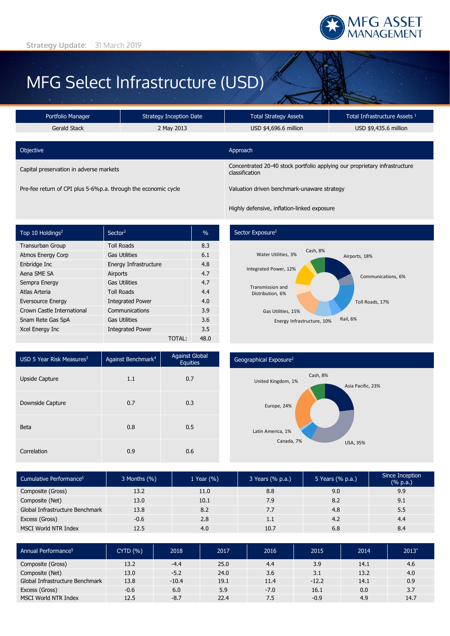

# MFG Select Infrastructure (USD)

| Portfolio Manager                       | <b>Strategy Inception Date</b> | <b>Total Strategy Assets</b>                                                                 | Total Infrastructure Assets 1 |  |  |
|-----------------------------------------|--------------------------------|----------------------------------------------------------------------------------------------|-------------------------------|--|--|
| Gerald Stack                            | 2 May 2013                     | USD \$4,696.6 million                                                                        | USD \$9,435.6 million         |  |  |
|                                         |                                |                                                                                              |                               |  |  |
| Objective                               |                                | Approach                                                                                     |                               |  |  |
| Capital preservation in adverse markets |                                | Concentrated 20-40 stock portfolio applying our proprietary infrastructure<br>classification |                               |  |  |

Pre-fee return of CPI plus 5-6%p.a. through the economic cycle Valuation driven benchmark-unaware strategy

Highly defensive, inflation-linked exposure

| Top 10 Holdings <sup>2</sup> | Sector <sup>2</sup>     | $\frac{0}{0}$ |
|------------------------------|-------------------------|---------------|
| <b>Transurban Group</b>      | <b>Toll Roads</b>       | 8.3           |
| <b>Atmos Energy Corp</b>     | <b>Gas Utilities</b>    | 6.1           |
| Enbridge Inc                 | Energy Infrastructure   | 4.8           |
| Aena SME SA                  | Airports                | 4.7           |
| Sempra Energy                | <b>Gas Utilities</b>    | 4.7           |
| Atlas Arteria                | <b>Toll Roads</b>       | 4.4           |
| <b>Eversource Energy</b>     | <b>Integrated Power</b> | 4.0           |
| Crown Castle International   | Communications          | 3.9           |
| Snam Rete Gas SpA            | <b>Gas Utilities</b>    | 3.6           |
| Xcel Energy Inc              | <b>Integrated Power</b> | 3.5           |
|                              | <b>TOTAL:</b>           | 48.0          |

## Sector Exposure<sup>2</sup>



| USD 5 Year Risk Measures $3$ | Against Benchmark <sup>4</sup> | <b>Against Global</b><br><b>Equities</b> |  |
|------------------------------|--------------------------------|------------------------------------------|--|
| <b>Upside Capture</b>        | 1.1                            | 0.7                                      |  |
| Downside Capture             | 0.7                            | 0.3                                      |  |
| <b>Beta</b>                  | 0.8                            | 0.5                                      |  |
| Correlation                  | 0.9                            | 0.6                                      |  |

### Geographical Exposure2



| Cumulative Performance <sup>5</sup> | $3$ Months $(\%)$ | 1 Year $(\% )$ | 3 Years (% p.a.) | 5 Years (% p.a.) | Since Inception<br>(% p.a.) |
|-------------------------------------|-------------------|----------------|------------------|------------------|-----------------------------|
| Composite (Gross)                   | 13.2              | 11.0           | 8.8              | 9.0              | 9.9                         |
| Composite (Net)                     | 13.0              | 10.1           | 7.9              | 8.2              | 9.1                         |
| Global Infrastructure Benchmark     | 13.8              | 8.2            | 7.7              | 4.8              | 5.5                         |
| Excess (Gross)                      | $-0.6$            | 2.8            | 1.1              | 4.2              | 4.4                         |
| MSCI World NTR Index                | 12.5              | 4.0            | 10.7             | 6.8              | 8.4                         |

| Annual Performance <sup>5</sup> | CYTD(%) | 2018    | 2017 | 2016   | 2015    | 2014 | $2013*$ |
|---------------------------------|---------|---------|------|--------|---------|------|---------|
| Composite (Gross)               | 13.2    | $-4.4$  | 25.0 | 4.4    | 3.9     | 14.1 | 4.6     |
| Composite (Net)                 | 13.0    | $-5.2$  | 24.0 | 3.6    | 3.1     | 13.2 | 4.0     |
| Global Infrastructure Benchmark | 13.8    | $-10.4$ | 19.1 | 11.4   | $-12.2$ | 14.1 | 0.9     |
| Excess (Gross)                  | $-0.6$  | 6.0     | 5.9  | $-7.0$ | 16.1    | 0.0  | 3.7     |
| MSCI World NTR Index            | 12.5    | $-8.7$  | 22.4 | 7.5    | $-0.9$  | 4.9  | 14.7    |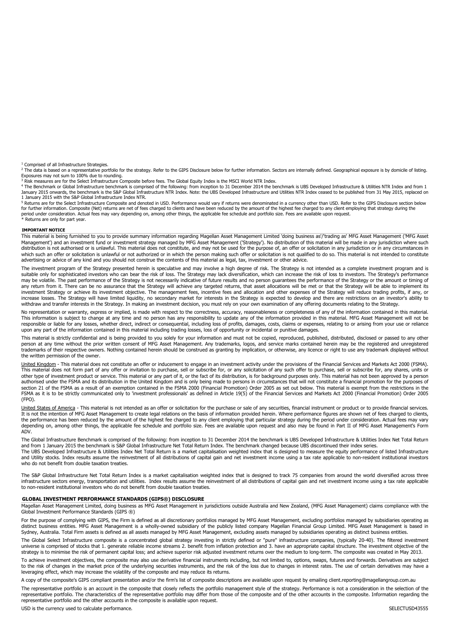<sup>1</sup> Comprised of all Infrastructure Strategies

<sup>2</sup> The data is based on a representative portfolio for the strategy. Refer to the GIPS Disclosure below for further information. Sectors are internally defined. Geographical exposure is by domicile of listing.

Exposures may not sum to 100% due to rounding.<br><sup>3</sup> Risk measures are for the Select Infrastructure Composite before fees. The Global Equity Index is the MSCI World NTR Index.<br><sup>4</sup> The Benchmark or Global Infrastructure benc January 2015 onwards, the benchmark is the S&P Global Infrastructure NTR Index. Note: the UBS Developed Infrastructure and Utilities NTR Index ceased to be published from 31 May 2015, replaced on 1 January 2015 with the S&P Global Infrastructure Index NTR.

<sup>5</sup> Returns are for the Select Infrastructure Composite and denoted in USD. Performance would vary if returns were denominated in a currency other than USD. Refer to the GIPS Disclosure section below for further information. Composite (Net) returns are net of fees charged to clients and have been reduced by the amount of the highest fee charged to any client employing that strategy during the period under consideration. Actual fees may vary depending on, among other things, the applicable fee schedule and portfolio size. Fees are available upon request.<br>\* Returns are only for part year.

#### **IMPORTANT NOTICE**

This material is being furnished to you to provide summary information regarding Magellan Asset Management Limited 'doing business as'/'trading as' MFG Asset Management ('MFG Asset<br>Management') and an investment fund or in distribution is not authorised or is unlawful. This material does not constitute, and may not be used for the purpose of, an offer or solicitation in any jurisdiction or in any circumstances in distribution is not authoris which such an offer or solicitation is unlawful or not authorized or in which the person making such offer or solicitation is not qualified to do so. This material is not intended to constitute advertising or advice of any kind and you should not construe the contents of this material as legal, tax, investment or other advice.

The investment program of the Strategy presented herein is speculative and may involve a high degree of risk. The Strategy is not intended as a complete investment program and is suitable only for sophisticated investors who can bear the risk of loss. The Strategy may lack diversification, which can increase the risk of loss to investors. The Strategy's performance<br>may be volatile. The past perform any return from it. There can be no assurance that the Strategy will achieve any targeted returns, that asset allocations will be met or that the Strategy will be able to implement its investment Strategy or achieve its investment objective. The management fees, incentive fees and allocation and other expenses of the Strategy will reduce trading profits, if any, or increase losses. The Strategy will have limited liquidity, no secondary market for interests in the Strategy is expected to develop and there are restrictions on an investor's ability to withdraw and transfer interests in the Strategy. In making an investment decision, you must rely on your own examination of any offering documents relating to the Strategy.

No representation or warranty, express or implied, is made with respect to the correctness, accuracy, reasonableness or completeness of any of the information contained in this material.<br>This information is subject to chan responsible or liable for any losses, whether direct, indirect or consequential, including loss of profits, damages, costs, claims or expenses, relating to or arising from your use or reliance upon any part of the information contained in this material including trading losses, loss of opportunity or incidental or punitive damages.

This material is strictly confidential and is being provided to you solely for your information and must not be copied, reproduced, published, distributed, disclosed or passed to any other<br>person at any time without the pr the written permission of the owner.

United Kingdom - This material does not constitute an offer or inducement to engage in an investment activity under the provisions of the Financial Services and Markets Act 2000 (FSMA). This material does not form part of any offer or invitation to purchase, sell or subscribe for, or any solicitation of any such offer to purchase, sell or subscribe for, any shares, units or<br>other type of investment produc authorised under the FSMA and its distribution in the United Kingdom and is only being made to persons in circumstances that will not constitute a financial promotion for the purposes of section 21 of the FSMA as a result of an exemption contained in the FSMA 2000 (Financial Promotion) Order 2005 as set out below. This material is exempt from the restrictions in the FSMA as it is to be strictly communicated only to 'investment professionals' as defined in Article 19(5) of the Financial Services and Markets Act 2000 (Financial Promotion) Order 2005 (FPO).

United States of America - This material is not intended as an offer or solicitation for the purchase or sale of any securities, financial instrument or product or to provide financial services. It is not the intention of MFG Asset Management to create legal relations on the basis of information provided herein. Where performance figures are shown net of fees charged to clients, the performance has been reduced by the amount of the highest fee charged to any client employing that particular strategy during the period under consideration. Actual fees may vary depending on, among other things, the applicable fee schedule and portfolio size. Fees are available upon request and also may be found in Part II of MFG Asset Management's Form ADV.

The Global Infrastructure Benchmark is comprised of the following: from inception to 31 December 2014 the benchmark is UBS Developed Infrastructure & Utilities Index Net Total Return<br>and from 1 January 2015 the benchmark i The UBS Developed Infrastructure & Utilities Index Net Total Return is a market capitalisation weighted index that is designed to measure the equity performance of listed Infrastructure

and Utility stocks. Index results assume the reinvestment of all distributions of capital gain and net investment income using a tax rate applicable to non-resident institutional investors who do not benefit from double taxation treaties.

The S&P Global Infrastructure Net Total Return Index is a market capitalisation weighted index that is designed to track 75 companies from around the world diversified across three infrastructure sectors energy, transportation and utilities. Index results assume the reinvestment of all distributions of capital gain and net investment income using a tax rate applicable to non-resident institutional investors who do not benefit from double taxation treaties.

#### **GLOBAL INVESTMENT PERFORMANCE STANDARDS (GIPS®) DISCLOSURE**

Magellan Asset Management Limited, doing business as MFG Asset Management in jurisdictions outside Australia and New Zealand, (MFG Asset Management) claims compliance with the Global Investment Performance Standards (GIPS ®)

For the purpose of complying with GIPS, the Firm is defined as all discretionary portfolios managed by MFG Asset Management, excluding portfolios managed by subsidiaries operating as<br>distinct business entities. MFG Asset M Sydney, Australia. Total Firm assets is defined as all assets managed by MFG Asset Management, excluding assets managed by subsidiaries operating as distinct business entities.

The Global Select Infrastructure composite is a concentrated global strategy investing in strictly defined or "pure" infrastructure companies, (typically 20-40). The filtered investment universe is comprised of stocks that 1. generate reliable income streams 2. benefit from inflation protection and 3. have an appropriate capital structure. The investment objective of the strategy is to minimise the risk of permanent capital loss; and achieve superior risk adjusted investment returns over the medium to long-term. The composite was created in May 2013.

To achieve investment objectives, the composite may also use derivative financial instruments including, but not limited to, options, swaps, futures and forwards. Derivatives are subject<br>to the risk of changes in the marke leveraging effect, which may increase the volatility of the composite and may reduce its returns.

A copy of the composite's GIPS compliant presentation and/or the firm's list of composite descriptions are available upon request by emailing client.reporting@magellangroup.com.au The representative portfolio is an account in the composite that closely reflects the portfolio management style of the strategy. Performance is not a consideration in the selection of the representative portfolio. The characteristics of the representative portfolio may differ from those of the composite and of the other accounts in the composite. Information regarding the representative portfolio and the other accounts in the composite is available upon request.

USD is the currency used to calculate performance. The currency of the currency used to calculate performance.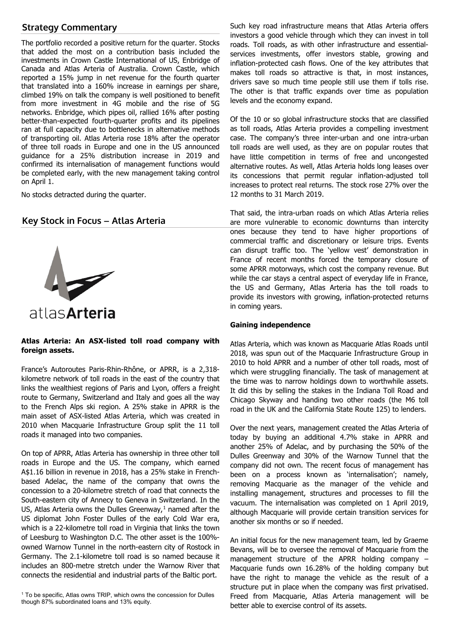## **Strategy Commentary**

The portfolio recorded a positive return for the quarter. Stocks that added the most on a contribution basis included the investments in Crown Castle International of US, Enbridge of Canada and Atlas Arteria of Australia. Crown Castle, which reported a 15% jump in net revenue for the fourth quarter that translated into a 160% increase in earnings per share, climbed 19% on talk the company is well positioned to benefit from more investment in 4G mobile and the rise of 5G networks. Enbridge, which pipes oil, rallied 16% after posting better-than-expected fourth-quarter profits and its pipelines ran at full capacity due to bottlenecks in alternative methods of transporting oil. Atlas Arteria rose 18% after the operator of three toll roads in Europe and one in the US announced guidance for a 25% distribution increase in 2019 and confirmed its internalisation of management functions would be completed early, with the new management taking control on April 1.

No stocks detracted during the quarter.

## **Key Stock in Focus – Atlas Arteria**



## **Atlas Arteria: An ASX-listed toll road company with foreign assets.**

France's Autoroutes Paris-Rhin-Rhône, or APRR, is a 2,318 kilometre network of toll roads in the east of the country that links the wealthiest regions of Paris and Lyon, offers a freight route to Germany, Switzerland and Italy and goes all the way to the French Alps ski region. A 25% stake in APRR is the main asset of ASX-listed Atlas Arteria, which was created in 2010 when Macquarie Infrastructure Group split the 11 toll roads it managed into two companies.

On top of APRR, Atlas Arteria has ownership in three other toll roads in Europe and the US. The company, which earned A\$1.16 billion in revenue in 2018, has a 25% stake in Frenchbased Adelac, the name of the company that owns the concession to a 20-kilometre stretch of road that connects the South-eastern city of Annecy to Geneva in Switzerland. In the US, Atlas Arteria owns the Dulles Greenway, $1$  named after the US diplomat John Foster Dulles of the early Cold War era, which is a 22-kilometre toll road in Virginia that links the town of Leesburg to Washington D.C. The other asset is the 100% owned Warnow Tunnel in the north-eastern city of Rostock in Germany. The 2.1-kilometre toll road is so named because it includes an 800-metre stretch under the Warnow River that connects the residential and industrial parts of the Baltic port.

<span id="page-2-0"></span><sup>1</sup> To be specific, Atlas owns TRIP, which owns the concession for Dulles though 87% subordinated loans and 13% equity.

Such key road infrastructure means that Atlas Arteria offers investors a good vehicle through which they can invest in toll roads. Toll roads, as with other infrastructure and essentialservices investments, offer investors stable, growing and inflation-protected cash flows. One of the key attributes that makes toll roads so attractive is that, in most instances, drivers save so much time people still use them if tolls rise. The other is that traffic expands over time as population levels and the economy expand.

Of the 10 or so global infrastructure stocks that are classified as toll roads, Atlas Arteria provides a compelling investment case. The company's three inter-urban and one intra-urban toll roads are well used, as they are on popular routes that have little competition in terms of free and uncongested alternative routes. As well, Atlas Arteria holds long leases over its concessions that permit regular inflation-adjusted toll increases to protect real returns. The stock rose 27% over the 12 months to 31 March 2019.

That said, the intra-urban roads on which Atlas Arteria relies are more vulnerable to economic downturns than intercity ones because they tend to have higher proportions of commercial traffic and discretionary or leisure trips. Events can disrupt traffic too. The 'yellow vest' demonstration in France of recent months forced the temporary closure of some APRR motorways, which cost the company revenue. But while the car stays a central aspect of everyday life in France, the US and Germany, Atlas Arteria has the toll roads to provide its investors with growing, inflation-protected returns in coming years.

## **Gaining independence**

Atlas Arteria, which was known as Macquarie Atlas Roads until 2018, was spun out of the Macquarie Infrastructure Group in 2010 to hold APRR and a number of other toll roads, most of which were struggling financially. The task of management at the time was to narrow holdings down to worthwhile assets. It did this by selling the stakes in the Indiana Toll Road and Chicago Skyway and handing two other roads (the M6 toll road in the UK and the California State Route 125) to lenders.

Over the next years, management created the Atlas Arteria of today by buying an additional 4.7% stake in APRR and another 25% of Adelac, and by purchasing the 50% of the Dulles Greenway and 30% of the Warnow Tunnel that the company did not own. The recent focus of management has been on a process known as 'internalisation'; namely, removing Macquarie as the manager of the vehicle and installing management, structures and processes to fill the vacuum. The internalisation was completed on 1 April 2019, although Macquarie will provide certain transition services for another six months or so if needed.

An initial focus for the new management team, led by Graeme Bevans, will be to oversee the removal of Macquarie from the management structure of the APRR holding company – Macquarie funds own 16.28% of the holding company but have the right to manage the vehicle as the result of a structure put in place when the company was first privatised. Freed from Macquarie, Atlas Arteria management will be better able to exercise control of its assets.